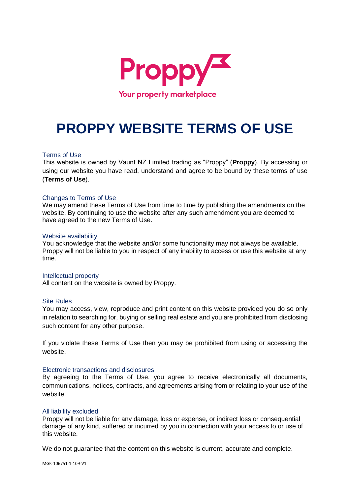

# **PROPPY WEBSITE TERMS OF USE**

## Terms of Use

This website is owned by Vaunt NZ Limited trading as "Proppy" (**Proppy**). By accessing or using our website you have read, understand and agree to be bound by these terms of use (**Terms of Use**).

### Changes to Terms of Use

We may amend these Terms of Use from time to time by publishing the amendments on the website. By continuing to use the website after any such amendment you are deemed to have agreed to the new Terms of Use.

#### Website availability

You acknowledge that the website and/or some functionality may not always be available. Proppy will not be liable to you in respect of any inability to access or use this website at any time.

#### Intellectual property

All content on the website is owned by Proppy.

#### Site Rules

You may access, view, reproduce and print content on this website provided you do so only in relation to searching for, buying or selling real estate and you are prohibited from disclosing such content for any other purpose.

If you violate these Terms of Use then you may be prohibited from using or accessing the website.

#### Electronic transactions and disclosures

By agreeing to the Terms of Use, you agree to receive electronically all documents, communications, notices, contracts, and agreements arising from or relating to your use of the website.

#### All liability excluded

Proppy will not be liable for any damage, loss or expense, or indirect loss or consequential damage of any kind, suffered or incurred by you in connection with your access to or use of this website.

We do not guarantee that the content on this website is current, accurate and complete.